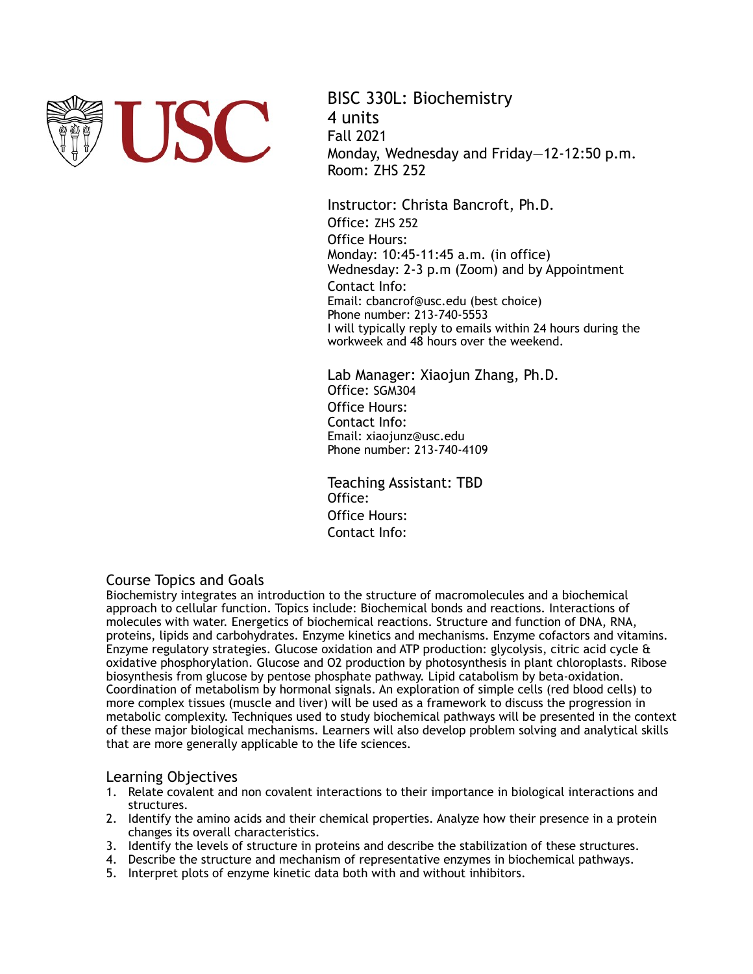

BISC 330L: Biochemistry 4 units Fall 2021 Monday, Wednesday and Friday—12-12:50 p.m. Room: ZHS 252

Instructor: Christa Bancroft, Ph.D. Office: ZHS 252 Office Hours: Monday: 10:45-11:45 a.m. (in office) Wednesday: 2-3 p.m (Zoom) and by Appointment Contact Info: Email: cbancrof@usc.edu (best choice) Phone number: 213-740-5553 I will typically reply to emails within 24 hours during the workweek and 48 hours over the weekend.

Lab Manager: Xiaojun Zhang, Ph.D. Office: SGM304 Office Hours: Contact Info: Email: xiaojunz@usc.edu Phone number: 213-740-4109

Teaching Assistant: TBD Office: Office Hours: Contact Info:

# Course Topics and Goals

Biochemistry integrates an introduction to the structure of macromolecules and a biochemical approach to cellular function. Topics include: Biochemical bonds and reactions. Interactions of molecules with water. Energetics of biochemical reactions. Structure and function of DNA, RNA, proteins, lipids and carbohydrates. Enzyme kinetics and mechanisms. Enzyme cofactors and vitamins. Enzyme regulatory strategies. Glucose oxidation and ATP production: glycolysis, citric acid cycle & oxidative phosphorylation. Glucose and O2 production by photosynthesis in plant chloroplasts. Ribose biosynthesis from glucose by pentose phosphate pathway. Lipid catabolism by beta-oxidation. Coordination of metabolism by hormonal signals. An exploration of simple cells (red blood cells) to more complex tissues (muscle and liver) will be used as a framework to discuss the progression in metabolic complexity. Techniques used to study biochemical pathways will be presented in the context of these major biological mechanisms. Learners will also develop problem solving and analytical skills that are more generally applicable to the life sciences.

# Learning Objectives

- 1. Relate covalent and non covalent interactions to their importance in biological interactions and structures.
- 2. Identify the amino acids and their chemical properties. Analyze how their presence in a protein changes its overall characteristics.
- 3. Identify the levels of structure in proteins and describe the stabilization of these structures.
- 4. Describe the structure and mechanism of representative enzymes in biochemical pathways.
- 5. Interpret plots of enzyme kinetic data both with and without inhibitors.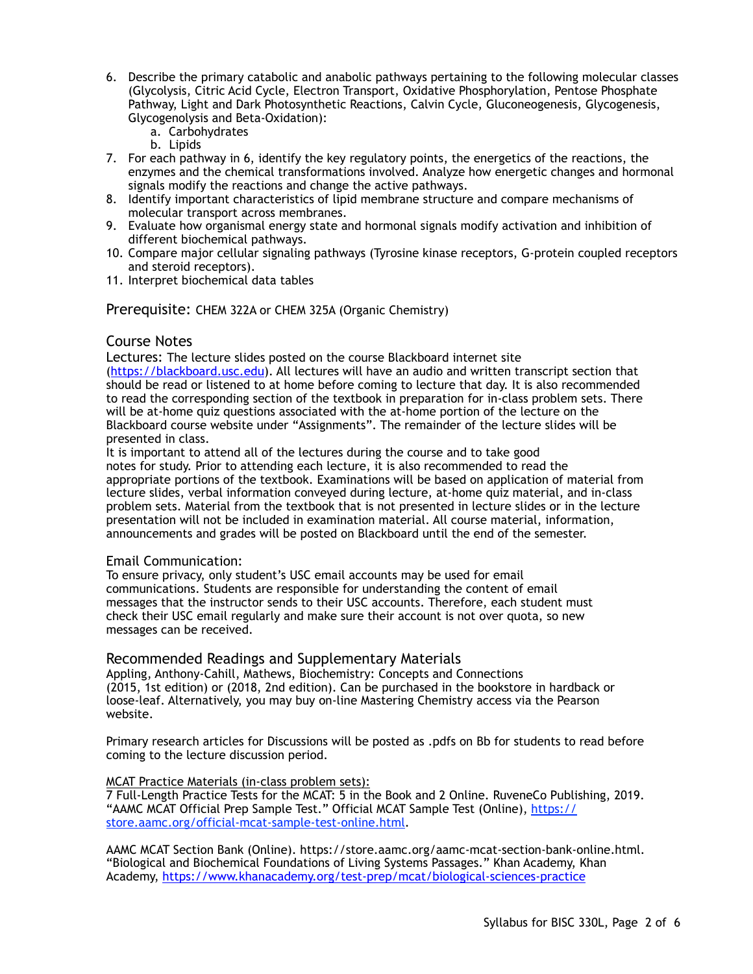- 6. Describe the primary catabolic and anabolic pathways pertaining to the following molecular classes (Glycolysis, Citric Acid Cycle, Electron Transport, Oxidative Phosphorylation, Pentose Phosphate Pathway, Light and Dark Photosynthetic Reactions, Calvin Cycle, Gluconeogenesis, Glycogenesis, Glycogenolysis and Beta-Oxidation):
	- a. Carbohydrates
	- b. Lipids
- 7. For each pathway in 6, identify the key regulatory points, the energetics of the reactions, the enzymes and the chemical transformations involved. Analyze how energetic changes and hormonal signals modify the reactions and change the active pathways.
- 8. Identify important characteristics of lipid membrane structure and compare mechanisms of molecular transport across membranes.
- 9. Evaluate how organismal energy state and hormonal signals modify activation and inhibition of different biochemical pathways.
- 10. Compare major cellular signaling pathways (Tyrosine kinase receptors, G-protein coupled receptors and steroid receptors).
- 11. Interpret biochemical data tables

Prerequisite: CHEM 322A or CHEM 325A (Organic Chemistry)

# Course Notes

Lectures: The lecture slides posted on the course Blackboard internet site [\(https://blackboard.usc.edu\)](https://blackboard.usc.edu). All lectures will have an audio and written transcript section that should be read or listened to at home before coming to lecture that day. It is also recommended to read the corresponding section of the textbook in preparation for in-class problem sets. There will be at-home quiz questions associated with the at-home portion of the lecture on the Blackboard course website under "Assignments". The remainder of the lecture slides will be presented in class.

It is important to attend all of the lectures during the course and to take good notes for study. Prior to attending each lecture, it is also recommended to read the appropriate portions of the textbook. Examinations will be based on application of material from lecture slides, verbal information conveyed during lecture, at-home quiz material, and in-class problem sets. Material from the textbook that is not presented in lecture slides or in the lecture presentation will not be included in examination material. All course material, information, announcements and grades will be posted on Blackboard until the end of the semester.

#### Email Communication:

To ensure privacy, only student's USC email accounts may be used for email communications. Students are responsible for understanding the content of email messages that the instructor sends to their USC accounts. Therefore, each student must check their USC email regularly and make sure their account is not over quota, so new messages can be received.

# Recommended Readings and Supplementary Materials

Appling, Anthony-Cahill, Mathews, Biochemistry: Concepts and Connections (2015, 1st edition) or (2018, 2nd edition). Can be purchased in the bookstore in hardback or loose-leaf. Alternatively, you may buy on-line Mastering Chemistry access via the Pearson website.

Primary research articles for Discussions will be posted as .pdfs on Bb for students to read before coming to the lecture discussion period.

#### MCAT Practice Materials (in-class problem sets):

7 Full-Length Practice Tests for the MCAT: 5 in the Book and 2 Online. RuveneCo Publishing, 2019. "AAMC MCAT Official Prep Sample Test." Official MCAT Sample Test (Online), [https://](https://store.aamc.org/official-mcat-sample-test-online.html) [store.aamc.org/official-mcat-sample-test-online.html](https://store.aamc.org/official-mcat-sample-test-online.html).

AAMC MCAT Section Bank (Online). https://store.aamc.org/aamc-mcat-section-bank-online.html. "Biological and Biochemical Foundations of Living Systems Passages." Khan Academy, Khan Academy,<https://www.khanacademy.org/test-prep/mcat/biological-sciences-practice>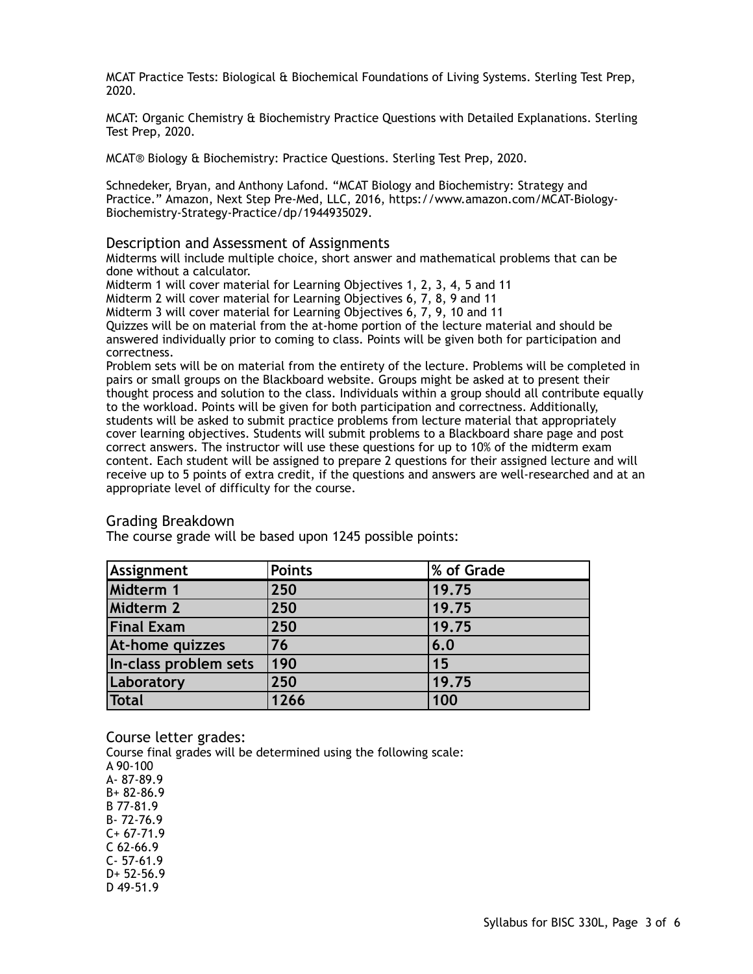MCAT Practice Tests: Biological & Biochemical Foundations of Living Systems. Sterling Test Prep, 2020.

MCAT: Organic Chemistry & Biochemistry Practice Questions with Detailed Explanations. Sterling Test Prep, 2020.

MCAT® Biology & Biochemistry: Practice Questions. Sterling Test Prep, 2020.

Schnedeker, Bryan, and Anthony Lafond. "MCAT Biology and Biochemistry: Strategy and Practice." Amazon, Next Step Pre-Med, LLC, 2016, https://www.amazon.com/MCAT-Biology-Biochemistry-Strategy-Practice/dp/1944935029.

#### Description and Assessment of Assignments

Midterms will include multiple choice, short answer and mathematical problems that can be done without a calculator.

Midterm 1 will cover material for Learning Objectives 1, 2, 3, 4, 5 and 11

Midterm 2 will cover material for Learning Objectives 6, 7, 8, 9 and 11

Midterm 3 will cover material for Learning Objectives 6, 7, 9, 10 and 11

Quizzes will be on material from the at-home portion of the lecture material and should be answered individually prior to coming to class. Points will be given both for participation and correctness.

Problem sets will be on material from the entirety of the lecture. Problems will be completed in pairs or small groups on the Blackboard website. Groups might be asked at to present their thought process and solution to the class. Individuals within a group should all contribute equally to the workload. Points will be given for both participation and correctness. Additionally, students will be asked to submit practice problems from lecture material that appropriately cover learning objectives. Students will submit problems to a Blackboard share page and post correct answers. The instructor will use these questions for up to 10% of the midterm exam content. Each student will be assigned to prepare 2 questions for their assigned lecture and will receive up to 5 points of extra credit, if the questions and answers are well-researched and at an appropriate level of difficulty for the course.

#### Grading Breakdown

The course grade will be based upon 1245 possible points:

| Assignment            | <b>Points</b> | % of Grade |  |
|-----------------------|---------------|------------|--|
| Midterm 1             | 250           | 19.75      |  |
| Midterm 2             | 250           | 19.75      |  |
| <b>Final Exam</b>     | 250           | 19.75      |  |
| At-home quizzes       | 76            | 6.0        |  |
| In-class problem sets | 190           | 15         |  |
| Laboratory            | 250           | 19.75      |  |
| <b>Total</b>          | 1266          | 100        |  |

Course letter grades:

Course final grades will be determined using the following scale:

A 90-100 A- 87-89.9 B+ 82-86.9 B 77-81.9 B- 72-76.9  $C + 67 - 71.9$ C 62-66.9 C- 57-61.9 D+ 52-56.9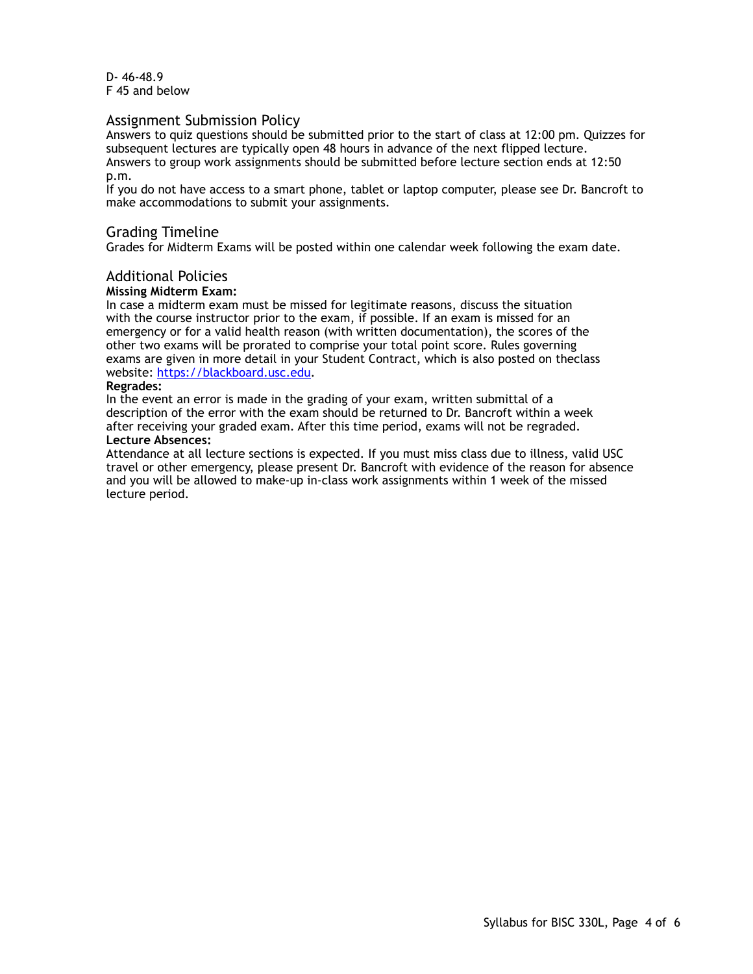D- 46-48.9 F 45 and below

## Assignment Submission Policy

Answers to quiz questions should be submitted prior to the start of class at 12:00 pm. Quizzes for subsequent lectures are typically open 48 hours in advance of the next flipped lecture. Answers to group work assignments should be submitted before lecture section ends at 12:50 p.m.

If you do not have access to a smart phone, tablet or laptop computer, please see Dr. Bancroft to make accommodations to submit your assignments.

# Grading Timeline

Grades for Midterm Exams will be posted within one calendar week following the exam date.

## Additional Policies

#### **Missing Midterm Exam:**

In case a midterm exam must be missed for legitimate reasons, discuss the situation with the course instructor prior to the exam, if possible. If an exam is missed for an emergency or for a valid health reason (with written documentation), the scores of the other two exams will be prorated to comprise your total point score. Rules governing exams are given in more detail in your Student Contract, which is also posted on theclass website: [https://blackboard.usc.edu.](https://blackboard.usc.edu)

#### **Regrades:**

In the event an error is made in the grading of your exam, written submittal of a description of the error with the exam should be returned to Dr. Bancroft within a week after receiving your graded exam. After this time period, exams will not be regraded. **Lecture Absences:**

Attendance at all lecture sections is expected. If you must miss class due to illness, valid USC travel or other emergency, please present Dr. Bancroft with evidence of the reason for absence and you will be allowed to make-up in-class work assignments within 1 week of the missed lecture period.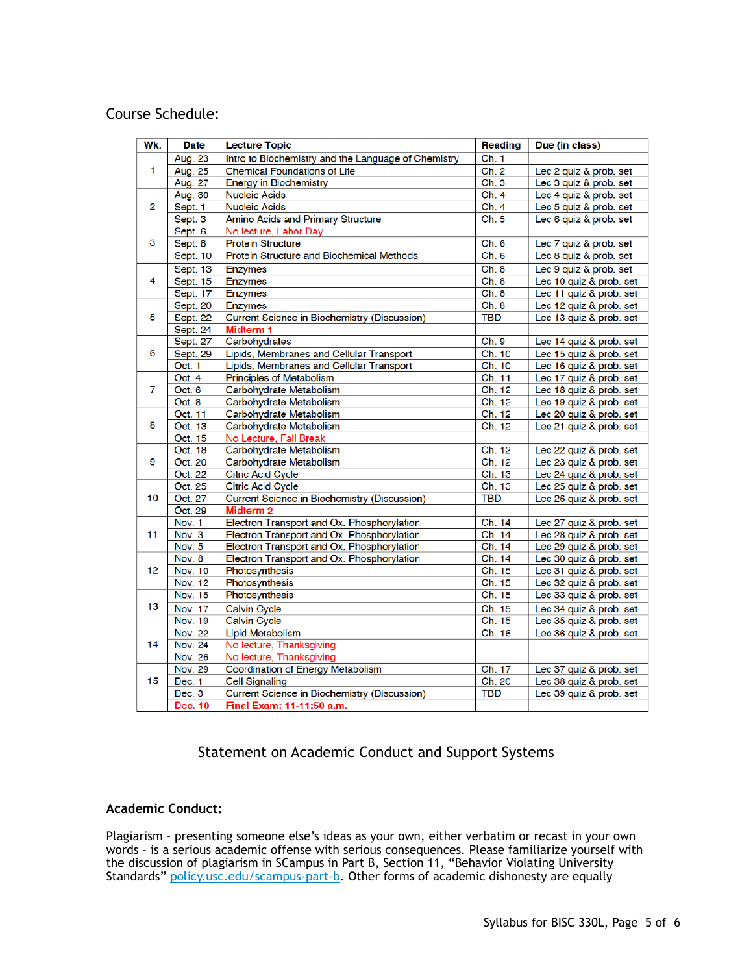# Course Schedule:

| Wk.            | <b>Date</b>    | <b>Lecture Topic</b>                                | Reading    | Due (in class)          |  |
|----------------|----------------|-----------------------------------------------------|------------|-------------------------|--|
|                | Aug. 23        | Intro to Biochemistry and the Language of Chemistry | Ch. 1      |                         |  |
| 1              | Aug. 25        | <b>Chemical Foundations of Life</b>                 | Ch. 2      | Lec 2 quiz & prob. set  |  |
|                | Aug. 27        | <b>Energy in Biochemistry</b>                       | Ch.3       | Lec 3 quiz & prob. set  |  |
| 2              | Aug. 30        | <b>Nucleic Acids</b>                                | Ch.4       | Lec 4 quiz & prob. set  |  |
|                | Sept. 1        | <b>Nucleic Acids</b>                                | Ch. 4      | Lec 5 quiz & prob. set  |  |
|                | Sept. 3        | Amino Acids and Primary Structure                   | Ch.5       | Lec 6 quiz & prob. set  |  |
|                | Sept. 6        | No lecture, Labor Day                               |            |                         |  |
| 3              | Sept. 8        | <b>Protein Structure</b>                            | Ch. 6      | Lec 7 quiz & prob. set  |  |
|                | Sept. 10       | Protein Structure and Biochemical Methods           | Ch. 6      | Lec 8 quiz & prob. set  |  |
| 4              | Sept. 13       | <b>Enzymes</b>                                      | Ch.8       | Lec 9 quiz & prob. set  |  |
|                | Sept. 15       | <b>Enzymes</b>                                      | Ch. 8      | Lec 10 quiz & prob. set |  |
|                | Sept. 17       | <b>Enzymes</b>                                      | Ch. 8      | Lec 11 quiz & prob. set |  |
|                | Sept. 20       | <b>Enzymes</b>                                      | Ch. 8      | Lec 12 quiz & prob. set |  |
| 5              | Sept. 22       | <b>Current Science in Biochemistry (Discussion)</b> | <b>TBD</b> | Lec 13 quiz & prob. set |  |
|                | Sept. 24       | <b>Midterm 1</b>                                    |            |                         |  |
| 6              | Sept. 27       | Carbohydrates                                       | Ch. 9      | Lec 14 quiz & prob. set |  |
|                | Sept. 29       | Lipids, Membranes and Cellular Transport            | Ch. 10     | Lec 15 quiz & prob. set |  |
|                | Oct. 1         | Lipids, Membranes and Cellular Transport            | Ch. 10     | Lec 16 quiz & prob. set |  |
| $\overline{7}$ | Oct. 4         | Principles of Metabolism                            | Ch. 11     | Lec 17 quiz & prob. set |  |
|                | Oct. 6         | Carbohydrate Metabolism                             | Ch. 12     | Lec 18 quiz & prob. set |  |
|                | Oct. 8         | Carbohydrate Metabolism                             | Ch. 12     | Lec 19 quiz & prob. set |  |
| 8              | Oct. 11        | Carbohydrate Metabolism                             | Ch. 12     | Lec 20 quiz & prob. set |  |
|                | Oct. 13        | Carbohydrate Metabolism                             | Ch. 12     | Lec 21 quiz & prob. set |  |
|                | Oct. 15        | No Lecture, Fall Break                              |            |                         |  |
| 9              | Oct. 18        | Carbohydrate Metabolism                             | Ch. 12     | Lec 22 quiz & prob. set |  |
|                | Oct. 20        | Carbohydrate Metabolism                             | Ch. 12     | Lec 23 quiz & prob. set |  |
|                | Oct. 22        | <b>Citric Acid Cycle</b>                            | Ch. 13     | Lec 24 quiz & prob. set |  |
| 10             | Oct. 25        | <b>Citric Acid Cycle</b>                            | Ch. 13     | Lec 25 quiz & prob. set |  |
|                | Oct. 27        | <b>Current Science in Biochemistry (Discussion)</b> | <b>TBD</b> | Lec 26 quiz & prob. set |  |
|                | Oct. 29        | Midterm <sub>2</sub>                                |            |                         |  |
| 11             | Nov. 1         | Electron Transport and Ox. Phosphorylation          | Ch. 14     | Lec 27 quiz & prob. set |  |
|                | Nov. 3         | Electron Transport and Ox. Phosphorylation          | Ch. 14     | Lec 28 quiz & prob. set |  |
|                | Nov. 5         | Electron Transport and Ox. Phosphorylation          | Ch. 14     | Lec 29 quiz & prob. set |  |
| 12             | Nov. 8         | Electron Transport and Ox. Phosphorylation          | Ch. 14     | Lec 30 quiz & prob. set |  |
|                | <b>Nov. 10</b> | Photosynthesis                                      | Ch. 15     | Lec 31 quiz & prob. set |  |
|                | <b>Nov. 12</b> | Photosynthesis                                      | Ch. 15     | Lec 32 quiz & prob. set |  |
| 13             | Nov. 15        | Photosynthesis                                      | Ch. 15     | Lec 33 quiz & prob. set |  |
|                | <b>Nov. 17</b> | <b>Calvin Cycle</b>                                 | Ch. 15     | Lec 34 quiz & prob. set |  |
|                | <b>Nov. 19</b> | Calvin Cycle                                        | Ch. 15     | Lec 35 quiz & prob. set |  |
| 14             | <b>Nov. 22</b> | <b>Lipid Metabolism</b>                             | Ch. 16     | Lec 36 quiz & prob. set |  |
|                | <b>Nov. 24</b> | No lecture, Thanksgiving                            |            |                         |  |
|                | <b>Nov. 26</b> | No lecture, Thanksgiving                            |            |                         |  |
| 15             | <b>Nov. 29</b> | Coordination of Energy Metabolism                   | Ch. 17     | Lec 37 quiz & prob. set |  |
|                | Dec. 1         | <b>Cell Signaling</b>                               | Ch. 20     | Lec 38 quiz & prob. set |  |
|                | Dec. 3         | <b>Current Science in Biochemistry (Discussion)</b> | TBD        | Lec 39 quiz & prob. set |  |
|                | Dec. 10        | Final Exam: 11-11:50 a.m.                           |            |                         |  |

# Statement on Academic Conduct and Support Systems

# **Academic Conduct:**

Plagiarism – presenting someone else's ideas as your own, either verbatim or recast in your own words – is a serious academic offense with serious consequences. Please familiarize yourself with the discussion of plagiarism in SCampus in Part B, Section 11, "Behavior Violating University Standards" [policy.usc.edu/scampus-part-b.](https://policy.usc.edu/scampus-part-b/) Other forms of academic dishonesty are equally